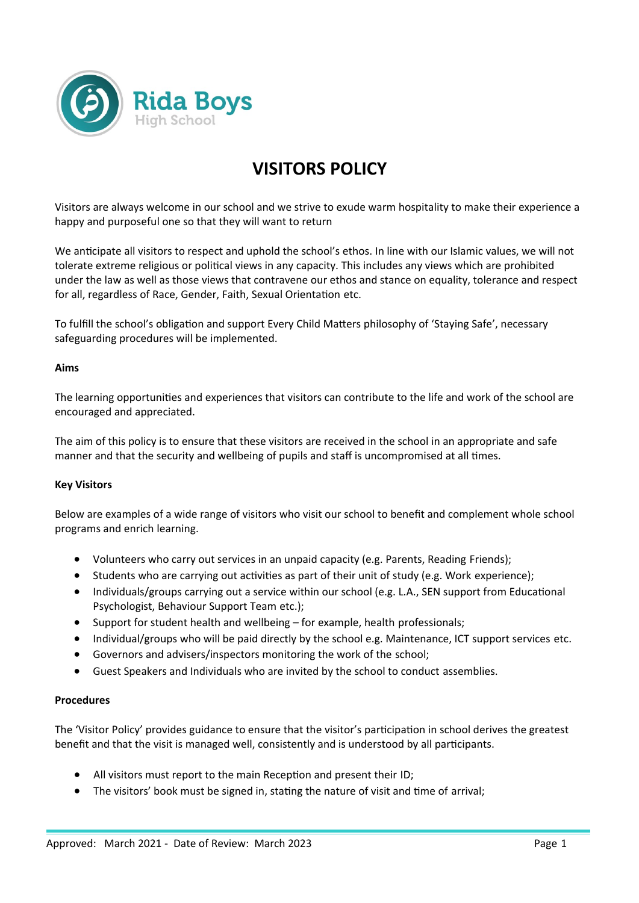

## **VISITORS POLICY**

Visitors are always welcome in our school and we strive to exude warm hospitality to make their experience a happy and purposeful one so that they will want to return

We anticipate all visitors to respect and uphold the school's ethos. In line with our Islamic values, we will not tolerate extreme religious or political views in any capacity. This includes any views which are prohibited under the law as well as those views that contravene our ethos and stance on equality, tolerance and respect for all, regardless of Race, Gender, Faith, Sexual Orientation etc.

To fulfill the school's obligation and support Every Child Matters philosophy of 'Staying Safe', necessary safeguarding procedures will be implemented.

## **Aims**

The learning opportunities and experiences that visitors can contribute to the life and work of the school are encouraged and appreciated.

The aim of this policy is to ensure that these visitors are received in the school in an appropriate and safe manner and that the security and wellbeing of pupils and staff is uncompromised at all times.

## **Key Visitors**

Below are examples of a wide range of visitors who visit our school to benefit and complement whole school programs and enrich learning.

- Volunteers who carry out services in an unpaid capacity (e.g. Parents, Reading Friends);
- Students who are carrying out activities as part of their unit of study (e.g. Work experience);
- Individuals/groups carrying out a service within our school (e.g. L.A., SEN support from Educational Psychologist, Behaviour Support Team etc.);
- Support for student health and wellbeing for example, health professionals;
- Individual/groups who will be paid directly by the school e.g. Maintenance, ICT support services etc.
- Governors and advisers/inspectors monitoring the work of the school;
- Guest Speakers and Individuals who are invited by the school to conduct assemblies.

## **Procedures**

The 'Visitor Policy' provides guidance to ensure that the visitor's participation in school derives the greatest benefit and that the visit is managed well, consistently and is understood by all participants.

- All visitors must report to the main Reception and present their ID;
- The visitors' book must be signed in, stating the nature of visit and time of arrival;